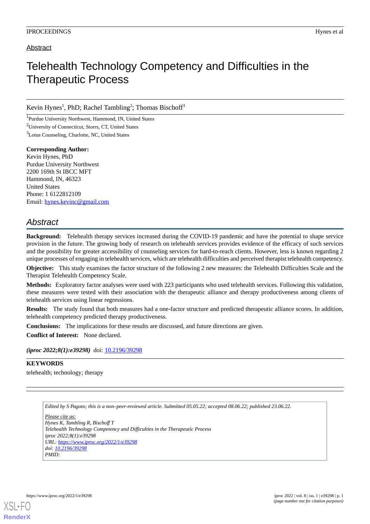### Abstract

# Telehealth Technology Competency and Difficulties in the Therapeutic Process

Kevin Hynes<sup>1</sup>, PhD; Rachel Tambling<sup>2</sup>; Thomas Bischoff<sup>3</sup>

<sup>1</sup>Purdue University Northwest, Hammond, IN, United States <sup>2</sup>University of Connecticut, Storrs, CT, United States <sup>3</sup>Lotus Counseling, Charlotte, NC, United States

**Corresponding Author:** Kevin Hynes, PhD Purdue University Northwest 2200 169th St IBCC MFT Hammond, IN, 46323 United States Phone: 1 6122812109 Email: [hynes.kevinc@gmail.com](mailto:hynes.kevinc@gmail.com)

## *Abstract*

**Background:** Telehealth therapy services increased during the COVID-19 pandemic and have the potential to shape service provision in the future. The growing body of research on telehealth services provides evidence of the efficacy of such services and the possibility for greater accessibility of counseling services for hard-to-reach clients. However, less is known regarding 2 unique processes of engaging in telehealth services, which are telehealth difficulties and perceived therapist telehealth competency.

**Objective:** This study examines the factor structure of the following 2 new measures: the Telehealth Difficulties Scale and the Therapist Telehealth Competency Scale.

**Methods:** Exploratory factor analyses were used with 223 participants who used telehealth services. Following this validation, these measures were tested with their association with the therapeutic alliance and therapy productiveness among clients of telehealth services using linear regressions.

**Results:** The study found that both measures had a one-factor structure and predicted therapeutic alliance scores. In addition, telehealth competency predicted therapy productiveness.

**Conclusions:** The implications for these results are discussed, and future directions are given.

**Conflict of Interest:** None declared.

*(iproc 2022;8(1):e39298)* doi: [10.2196/39298](http://dx.doi.org/10.2196/39298)

### **KEYWORDS**

telehealth; technology; therapy

*Edited by S Pagoto; this is a non–peer-reviewed article. Submitted 05.05.22; accepted 08.06.22; published 23.06.22.*

*Please cite as: Hynes K, Tambling R, Bischoff T Telehealth Technology Competency and Difficulties in the Therapeutic Process iproc 2022;8(1):e39298 URL: <https://www.iproc.org/2022/1/e39298> doi: [10.2196/39298](http://dx.doi.org/10.2196/39298) PMID:*